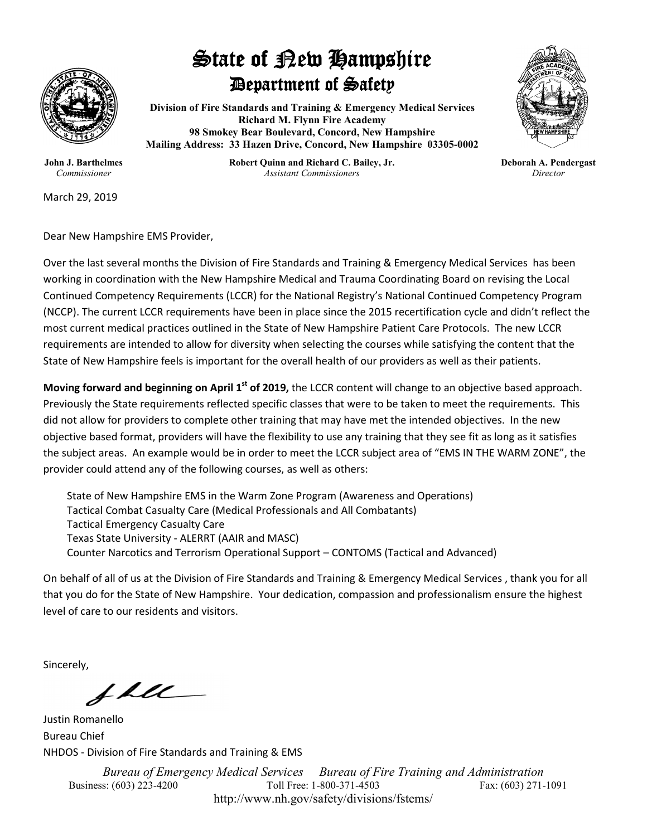

## State of New Hampshire Department of Safety

**Division of Fire Standards and Training & Emergency Medical Services Richard M. Flynn Fire Academy 98 Smokey Bear Boulevard, Concord, New Hampshire Mailing Address: 33 Hazen Drive, Concord, New Hampshire 03305-0002**



March 29, 2019

**John J. Barthelmes Robert Quinn and Richard C. Bailey, Jr. Reduction Deborah A. Pendergast** *Commissioner Assistant Commissioners Director*  $A$ *ssistant Commissioners* 

Dear New Hampshire EMS Provider,

Over the last several months the Division of Fire Standards and Training & Emergency Medical Services has been working in coordination with the New Hampshire Medical and Trauma Coordinating Board on revising the Local Continued Competency Requirements (LCCR) for the National Registry's National Continued Competency Program (NCCP). The current LCCR requirements have been in place since the 2015 recertification cycle and didn't reflect the most current medical practices outlined in the State of New Hampshire Patient Care Protocols. The new LCCR requirements are intended to allow for diversity when selecting the courses while satisfying the content that the State of New Hampshire feels is important for the overall health of our providers as well as their patients.

**Moving forward and beginning on April 1st of 2019,** the LCCR content will change to an objective based approach. Previously the State requirements reflected specific classes that were to be taken to meet the requirements. This did not allow for providers to complete other training that may have met the intended objectives. In the new objective based format, providers will have the flexibility to use any training that they see fit as long as it satisfies the subject areas. An example would be in order to meet the LCCR subject area of "EMS IN THE WARM ZONE", the provider could attend any of the following courses, as well as others:

State of New Hampshire EMS in the Warm Zone Program (Awareness and Operations) Tactical Combat Casualty Care (Medical Professionals and All Combatants) Tactical Emergency Casualty Care Texas State University - ALERRT (AAIR and MASC) Counter Narcotics and Terrorism Operational Support – CONTOMS (Tactical and Advanced)

On behalf of all of us at the Division of Fire Standards and Training & Emergency Medical Services , thank you for all that you do for the State of New Hampshire. Your dedication, compassion and professionalism ensure the highest level of care to our residents and visitors.

Sincerely,

ffle

Justin Romanello Bureau Chief NHDOS - Division of Fire Standards and Training & EMS

*Bureau of Emergency Medical Services Bureau of Fire Training and Administration*  Toll Free: 1-800-371-4503 http://www.nh.gov/safety/divisions/fstems/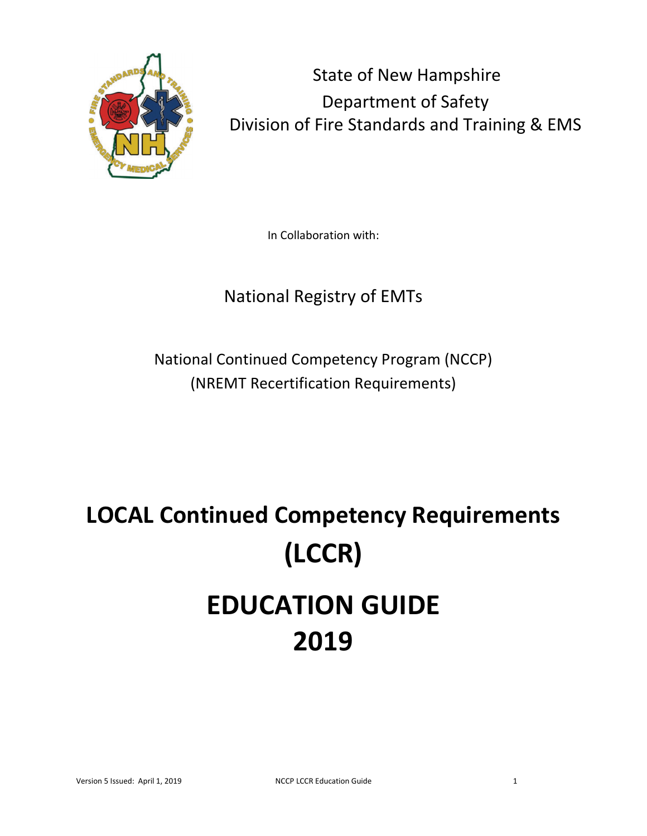

State of New Hampshire Department of Safety Division of Fire Standards and Training & EMS

In Collaboration with:

### National Registry of EMTs

National Continued Competency Program (NCCP) (NREMT Recertification Requirements)

# **LOCAL Continued Competency Requirements (LCCR) EDUCATION GUIDE 2019**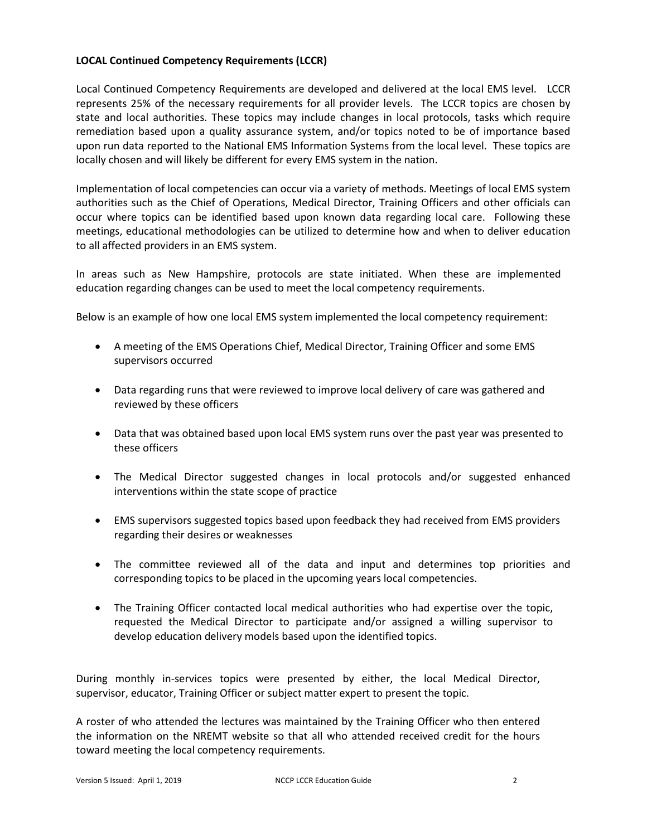#### **LOCAL Continued Competency Requirements (LCCR)**

Local Continued Competency Requirements are developed and delivered at the local EMS level. LCCR represents 25% of the necessary requirements for all provider levels. The LCCR topics are chosen by state and local authorities. These topics may include changes in local protocols, tasks which require remediation based upon a quality assurance system, and/or topics noted to be of importance based upon run data reported to the National EMS Information Systems from the local level. These topics are locally chosen and will likely be different for every EMS system in the nation.

Implementation of local competencies can occur via a variety of methods. Meetings of local EMS system authorities such as the Chief of Operations, Medical Director, Training Officers and other officials can occur where topics can be identified based upon known data regarding local care. Following these meetings, educational methodologies can be utilized to determine how and when to deliver education to all affected providers in an EMS system.

In areas such as New Hampshire, protocols are state initiated. When these are implemented education regarding changes can be used to meet the local competency requirements.

Below is an example of how one local EMS system implemented the local competency requirement:

- A meeting of the EMS Operations Chief, Medical Director, Training Officer and some EMS supervisors occurred
- Data regarding runs that were reviewed to improve local delivery of care was gathered and reviewed by these officers
- Data that was obtained based upon local EMS system runs over the past year was presented to these officers
- The Medical Director suggested changes in local protocols and/or suggested enhanced interventions within the state scope of practice
- EMS supervisors suggested topics based upon feedback they had received from EMS providers regarding their desires or weaknesses
- The committee reviewed all of the data and input and determines top priorities and corresponding topics to be placed in the upcoming years local competencies.
- The Training Officer contacted local medical authorities who had expertise over the topic, requested the Medical Director to participate and/or assigned a willing supervisor to develop education delivery models based upon the identified topics.

During monthly in‐services topics were presented by either, the local Medical Director, supervisor, educator, Training Officer or subject matter expert to present the topic.

A roster of who attended the lectures was maintained by the Training Officer who then entered the information on the NREMT website so that all who attended received credit for the hours toward meeting the local competency requirements.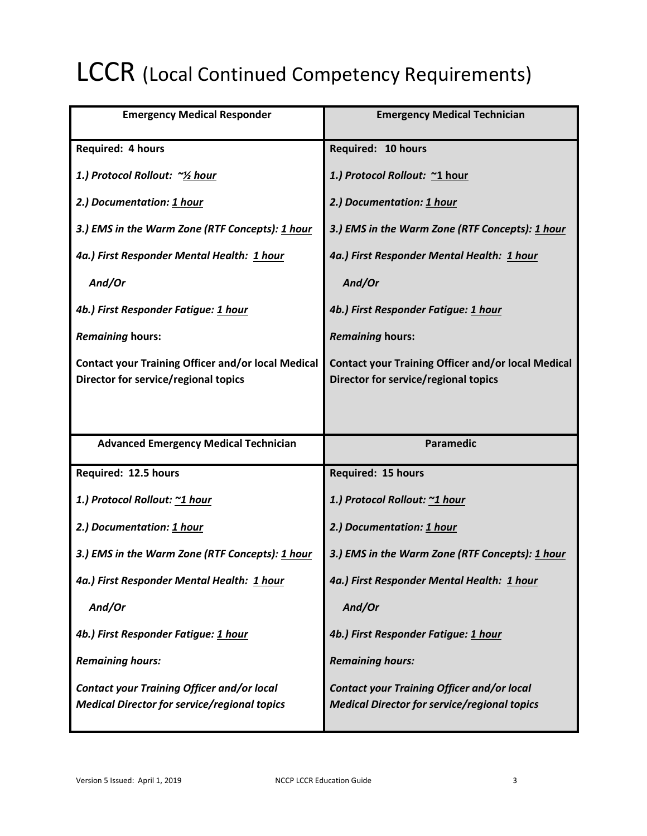## LCCR (Local Continued Competency Requirements)

| <b>Emergency Medical Responder</b>                                                                       | <b>Emergency Medical Technician</b>                                                                      |
|----------------------------------------------------------------------------------------------------------|----------------------------------------------------------------------------------------------------------|
| Required: 4 hours                                                                                        | Required: 10 hours                                                                                       |
| 1.) Protocol Rollout: ~1/2 hour                                                                          | 1.) Protocol Rollout: ~1 hour                                                                            |
| 2.) Documentation: 1 hour                                                                                | 2.) Documentation: 1 hour                                                                                |
| 3.) EMS in the Warm Zone (RTF Concepts): 1 hour                                                          | 3.) EMS in the Warm Zone (RTF Concepts): 1 hour                                                          |
| 4a.) First Responder Mental Health: 1 hour                                                               | 4a.) First Responder Mental Health: 1 hour                                                               |
| And/Or                                                                                                   | And/Or                                                                                                   |
| 4b.) First Responder Fatigue: 1 hour                                                                     | 4b.) First Responder Fatigue: 1 hour                                                                     |
| <b>Remaining hours:</b>                                                                                  | <b>Remaining hours:</b>                                                                                  |
| <b>Contact your Training Officer and/or local Medical</b>                                                | <b>Contact your Training Officer and/or local Medical</b>                                                |
| Director for service/regional topics                                                                     | Director for service/regional topics                                                                     |
|                                                                                                          |                                                                                                          |
| <b>Advanced Emergency Medical Technician</b>                                                             | <b>Paramedic</b>                                                                                         |
| Required: 12.5 hours                                                                                     | Required: 15 hours                                                                                       |
| 1.) Protocol Rollout: ~1 hour                                                                            | 1.) Protocol Rollout: ~1 hour                                                                            |
| 2.) Documentation: 1 hour                                                                                | 2.) Documentation: 1 hour                                                                                |
| 3.) EMS in the Warm Zone (RTF Concepts): 1 hour                                                          | 3.) EMS in the Warm Zone (RTF Concepts): 1 hour                                                          |
| 4a.) First Responder Mental Health: 1 hour                                                               | 4a.) First Responder Mental Health: 1 hour                                                               |
| And/Or                                                                                                   | And/Or                                                                                                   |
| 4b.) First Responder Fatigue: 1 hour                                                                     | 4b.) First Responder Fatigue: 1 hour                                                                     |
| <b>Remaining hours:</b>                                                                                  | <b>Remaining hours:</b>                                                                                  |
| <b>Contact your Training Officer and/or local</b><br><b>Medical Director for service/regional topics</b> | <b>Contact your Training Officer and/or local</b><br><b>Medical Director for service/regional topics</b> |